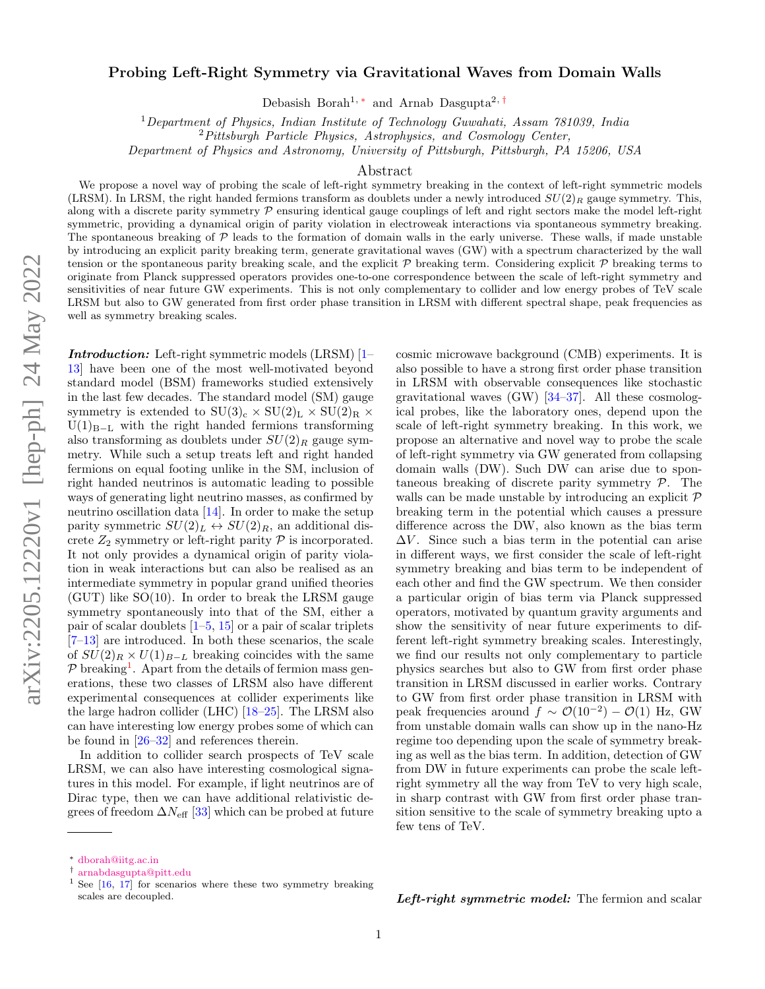## Probing Left-Right Symmetry via Gravitational Waves from Domain Walls

Debasish Borah<sup>1,\*</sup> and Arnab Dasgupta<sup>2,[†](#page-0-1)</sup>

<sup>1</sup>Department of Physics, Indian Institute of Technology Guwahati, Assam 781039, India

Department of Physics and Astronomy, University of Pittsburgh, Pittsburgh, PA 15206, USA

## Abstract

We propose a novel way of probing the scale of left-right symmetry breaking in the context of left-right symmetric models (LRSM). In LRSM, the right handed fermions transform as doublets under a newly introduced  $SU(2)_R$  gauge symmetry. This, along with a discrete parity symmetry  $P$  ensuring identical gauge couplings of left and right sectors make the model left-right symmetric, providing a dynamical origin of parity violation in electroweak interactions via spontaneous symmetry breaking. The spontaneous breaking of  $\mathcal P$  leads to the formation of domain walls in the early universe. These walls, if made unstable by introducing an explicit parity breaking term, generate gravitational waves (GW) with a spectrum characterized by the wall tension or the spontaneous parity breaking scale, and the explicit  $P$  breaking term. Considering explicit  $P$  breaking terms to originate from Planck suppressed operators provides one-to-one correspondence between the scale of left-right symmetry and sensitivities of near future GW experiments. This is not only complementary to collider and low energy probes of TeV scale LRSM but also to GW generated from first order phase transition in LRSM with different spectral shape, peak frequencies as well as symmetry breaking scales.

Introduction: Left-right symmetric models (LRSM) [\[1–](#page-4-0) [13\]](#page-4-1) have been one of the most well-motivated beyond standard model (BSM) frameworks studied extensively in the last few decades. The standard model (SM) gauge symmetry is extended to  $SU(3)_c \times SU(2)_L \times SU(2)_R \times$  $U(1)_{B-L}$  with the right handed fermions transforming also transforming as doublets under  $SU(2)_R$  gauge symmetry. While such a setup treats left and right handed fermions on equal footing unlike in the SM, inclusion of right handed neutrinos is automatic leading to possible ways of generating light neutrino masses, as confirmed by neutrino oscillation data [\[14\]](#page-4-2). In order to make the setup parity symmetric  $SU(2)_L \leftrightarrow SU(2)_R$ , an additional discrete  $Z_2$  symmetry or left-right parity  $P$  is incorporated. It not only provides a dynamical origin of parity violation in weak interactions but can also be realised as an intermediate symmetry in popular grand unified theories (GUT) like SO(10). In order to break the LRSM gauge symmetry spontaneously into that of the SM, either a pair of scalar doublets  $[1–5, 15]$  $[1–5, 15]$  $[1–5, 15]$  $[1–5, 15]$  or a pair of scalar triplets [\[7–](#page-4-5)[13\]](#page-4-1) are introduced. In both these scenarios, the scale of  $SU(2)_R \times U(1)_{B-L}$  breaking coincides with the same  $P$  breaking<sup>[1](#page-0-2)</sup>. Apart from the details of fermion mass generations, these two classes of LRSM also have different experimental consequences at collider experiments like the large hadron collider (LHC) [\[18–](#page-4-6)[25\]](#page-5-0). The LRSM also can have interesting low energy probes some of which can be found in [\[26–](#page-5-1)[32\]](#page-5-2) and references therein.

In addition to collider search prospects of TeV scale LRSM, we can also have interesting cosmological signatures in this model. For example, if light neutrinos are of Dirac type, then we can have additional relativistic degrees of freedom  $\Delta N_{\text{eff}}$  [\[33\]](#page-5-3) which can be probed at future

cosmic microwave background (CMB) experiments. It is also possible to have a strong first order phase transition in LRSM with observable consequences like stochastic gravitational waves (GW) [\[34](#page-5-4)[–37\]](#page-5-5). All these cosmological probes, like the laboratory ones, depend upon the scale of left-right symmetry breaking. In this work, we propose an alternative and novel way to probe the scale of left-right symmetry via GW generated from collapsing domain walls (DW). Such DW can arise due to spontaneous breaking of discrete parity symmetry P. The walls can be made unstable by introducing an explicit  $\mathcal P$ breaking term in the potential which causes a pressure difference across the DW, also known as the bias term  $\Delta V$ . Since such a bias term in the potential can arise in different ways, we first consider the scale of left-right symmetry breaking and bias term to be independent of each other and find the GW spectrum. We then consider a particular origin of bias term via Planck suppressed operators, motivated by quantum gravity arguments and show the sensitivity of near future experiments to different left-right symmetry breaking scales. Interestingly, we find our results not only complementary to particle physics searches but also to GW from first order phase transition in LRSM discussed in earlier works. Contrary to GW from first order phase transition in LRSM with peak frequencies around  $f \sim \mathcal{O}(10^{-2}) - \mathcal{O}(1)$  Hz, GW from unstable domain walls can show up in the nano-Hz regime too depending upon the scale of symmetry breaking as well as the bias term. In addition, detection of GW from DW in future experiments can probe the scale leftright symmetry all the way from TeV to very high scale, in sharp contrast with GW from first order phase transition sensitive to the scale of symmetry breaking upto a few tens of TeV.

Left-right symmetric model: The fermion and scalar

 ${}^{2}Pittsburgh$  Particle Physics, Astrophysics, and Cosmology Center,

<span id="page-0-0"></span><sup>∗</sup> [dborah@iitg.ac.in](mailto:dborah@iitg.ac.in)

<span id="page-0-1"></span><sup>†</sup> [arnabdasgupta@pitt.edu](mailto:arnabdasgupta@pitt.edu)

<span id="page-0-2"></span><sup>&</sup>lt;sup>1</sup> See  $[16, 17]$  $[16, 17]$  $[16, 17]$  for scenarios where these two symmetry breaking scales are decoupled.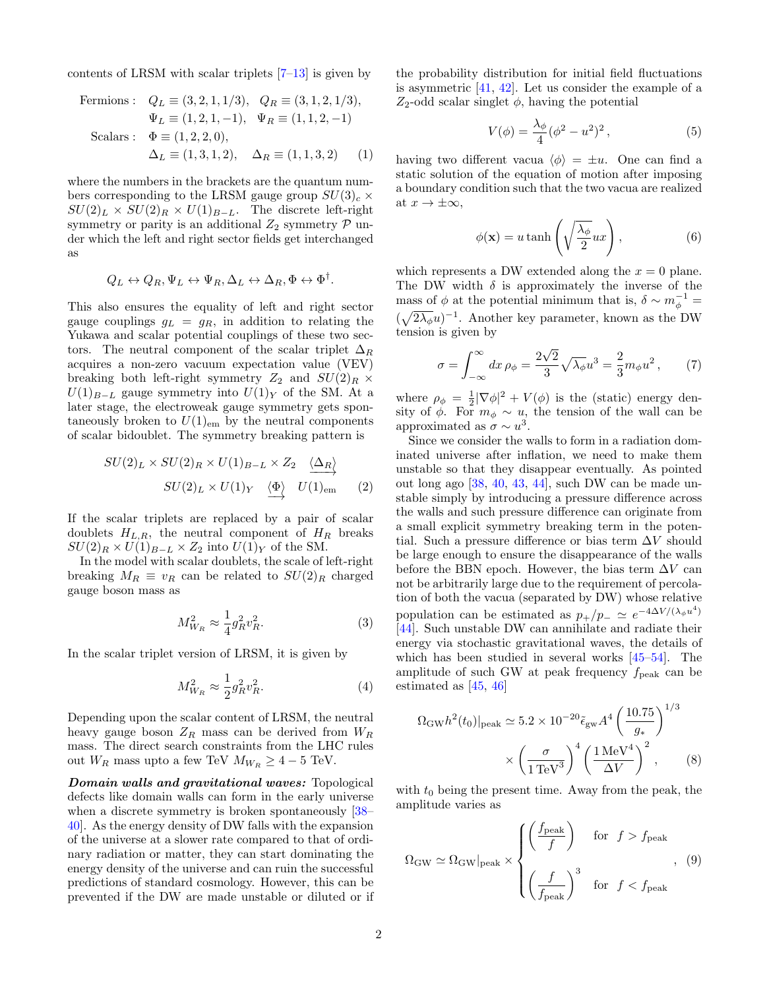contents of LRSM with scalar triplets  $[7-13]$  $[7-13]$  is given by

Fermions: 
$$
Q_L \equiv (3, 2, 1, 1/3), Q_R \equiv (3, 1, 2, 1/3),
$$
  
\n $\Psi_L \equiv (1, 2, 1, -1), \Psi_R \equiv (1, 1, 2, -1)$   
\nScalars:  $\Phi \equiv (1, 2, 2, 0),$   
\n $\Delta_L \equiv (1, 3, 1, 2), \Delta_R \equiv (1, 1, 3, 2)$  (1)

where the numbers in the brackets are the quantum numbers corresponding to the LRSM gauge group  $SU(3)_c \times$  $SU(2)_L \times SU(2)_R \times U(1)_{B-L}$ . The discrete left-right symmetry or parity is an additional  $Z_2$  symmetry  $\mathcal P$  under which the left and right sector fields get interchanged as

$$
Q_L \leftrightarrow Q_R, \Psi_L \leftrightarrow \Psi_R, \Delta_L \leftrightarrow \Delta_R, \Phi \leftrightarrow \Phi^{\dagger}.
$$

This also ensures the equality of left and right sector gauge couplings  $g_L = g_R$ , in addition to relating the Yukawa and scalar potential couplings of these two sectors. The neutral component of the scalar triplet  $\Delta_R$ acquires a non-zero vacuum expectation value (VEV) breaking both left-right symmetry  $Z_2$  and  $SU(2)_R \times$  $U(1)_{B-L}$  gauge symmetry into  $U(1)_Y$  of the SM. At a later stage, the electroweak gauge symmetry gets spontaneously broken to  $U(1)_{\text{em}}$  by the neutral components of scalar bidoublet. The symmetry breaking pattern is

$$
SU(2)_L \times SU(2)_R \times U(1)_{B-L} \times Z_2 \xrightarrow{\langle \Delta_R \rangle} U(2)_L \times U(1)_Y \xrightarrow{\langle \Phi \rangle} U(1)_{\text{em}} \qquad (2)
$$

If the scalar triplets are replaced by a pair of scalar doublets  $H_{L,R}$ , the neutral component of  $H_R$  breaks  $SU(2)_R \times U(1)_{B-L} \times Z_2$  into  $U(1)_Y$  of the SM.

In the model with scalar doublets, the scale of left-right breaking  $M_R \equiv v_R$  can be related to  $SU(2)_R$  charged gauge boson mass as

$$
M_{W_R}^2 \approx \frac{1}{4} g_R^2 v_R^2.
$$
 (3)

In the scalar triplet version of LRSM, it is given by

$$
M_{W_R}^2 \approx \frac{1}{2} g_R^2 v_R^2. \tag{4}
$$

Depending upon the scalar content of LRSM, the neutral heavy gauge boson  $Z_R$  mass can be derived from  $W_R$ mass. The direct search constraints from the LHC rules out  $W_R$  mass upto a few TeV  $M_{W_R} \geq 4-5$  TeV.

Domain walls and gravitational waves: Topological defects like domain walls can form in the early universe when a discrete symmetry is broken spontaneously  $[38-$ [40\]](#page-5-7). As the energy density of DW falls with the expansion of the universe at a slower rate compared to that of ordinary radiation or matter, they can start dominating the energy density of the universe and can ruin the successful predictions of standard cosmology. However, this can be prevented if the DW are made unstable or diluted or if the probability distribution for initial field fluctuations is asymmetric [\[41,](#page-5-8) [42\]](#page-5-9). Let us consider the example of a  $Z_2$ -odd scalar singlet  $\phi$ , having the potential

$$
V(\phi) = \frac{\lambda_{\phi}}{4} (\phi^2 - u^2)^2, \qquad (5)
$$

having two different vacua  $\langle \phi \rangle = \pm u$ . One can find a static solution of the equation of motion after imposing a boundary condition such that the two vacua are realized at  $x \to \pm \infty$ ,

$$
\phi(\mathbf{x}) = u \tanh\left(\sqrt{\frac{\lambda_{\phi}}{2}}ux\right),\tag{6}
$$

which represents a DW extended along the  $x = 0$  plane. The DW width  $\delta$  is approximately the inverse of the mass of  $\phi$  at the potential minimum that is,  $\delta \sim m_{\phi}^{-1} =$  $(\sqrt{2\lambda_{\phi}}u)^{-1}$ . Another key parameter, known as the DW tension is given by

$$
\sigma = \int_{-\infty}^{\infty} dx \,\rho_{\phi} = \frac{2\sqrt{2}}{3} \sqrt{\lambda_{\phi}} u^3 = \frac{2}{3} m_{\phi} u^2 \,, \qquad (7)
$$

where  $\rho_{\phi} = \frac{1}{2} |\nabla \phi|^2 + V(\phi)$  is the (static) energy density of  $\phi$ . For  $m_{\phi} \sim u$ , the tension of the wall can be approximated as  $\sigma \sim u^3$ .

Since we consider the walls to form in a radiation dominated universe after inflation, we need to make them unstable so that they disappear eventually. As pointed out long ago [\[38,](#page-5-6) [40,](#page-5-7) [43,](#page-5-10) [44\]](#page-5-11), such DW can be made unstable simply by introducing a pressure difference across the walls and such pressure difference can originate from a small explicit symmetry breaking term in the potential. Such a pressure difference or bias term  $\Delta V$  should be large enough to ensure the disappearance of the walls before the BBN epoch. However, the bias term  $\Delta V$  can not be arbitrarily large due to the requirement of percolation of both the vacua (separated by DW) whose relative population can be estimated as  $p_{+}/p_{-} \simeq e^{-4\Delta V/(\lambda_{\phi}u^{4})}$ [\[44\]](#page-5-11). Such unstable DW can annihilate and radiate their energy via stochastic gravitational waves, the details of which has been studied in several works [\[45–](#page-5-12)[54\]](#page-5-13). The amplitude of such GW at peak frequency  $f_{\text{peak}}$  can be estimated as [\[45,](#page-5-12) [46\]](#page-5-14)

$$
\Omega_{\rm GW} h^2(t_0)|_{\rm peak} \simeq 5.2 \times 10^{-20} \tilde{\epsilon}_{\rm gw} A^4 \left(\frac{10.75}{g_*}\right)^{1/3} \times \left(\frac{\sigma}{1 \,\text{TeV}^3}\right)^4 \left(\frac{1 \,\text{MeV}^4}{\Delta V}\right)^2, \tag{8}
$$

with  $t_0$  being the present time. Away from the peak, the amplitude varies as

$$
\Omega_{\rm GW} \simeq \Omega_{\rm GW}|_{\rm peak} \times \begin{cases} \left(\frac{f_{\rm peak}}{f}\right) & \text{for } f > f_{\rm peak} \\ \\ \left(\frac{f}{f_{\rm peak}}\right)^3 & \text{for } f < f_{\rm peak} \end{cases}, (9)
$$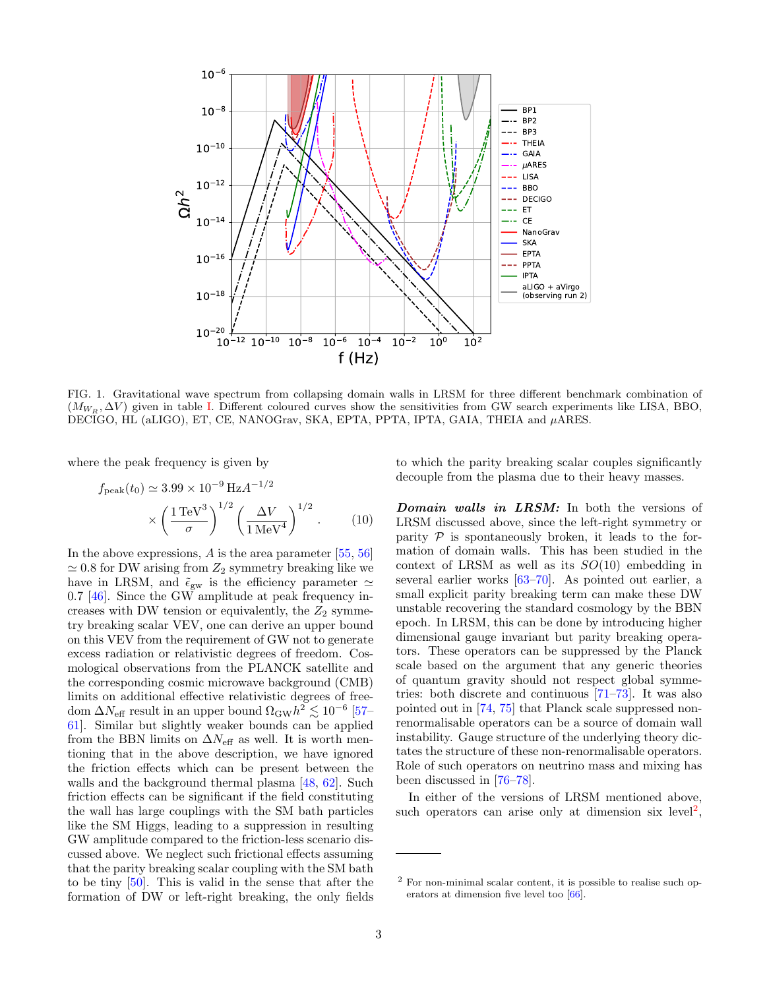

<span id="page-2-1"></span>FIG. 1. Gravitational wave spectrum from collapsing domain walls in LRSM for three different benchmark combination of  $(M_{W_R}, \Delta V)$  given in table [I.](#page-3-0) Different coloured curves show the sensitivities from GW search experiments like LISA, BBO, DECIGO, HL (aLIGO), ET, CE, NANOGrav, SKA, EPTA, PPTA, IPTA, GAIA, THEIA and µARES.

where the peak frequency is given by

$$
f_{\text{peak}}(t_0) \simeq 3.99 \times 10^{-9} \,\text{Hz} A^{-1/2} \\
\times \left(\frac{1\,\text{TeV}^3}{\sigma}\right)^{1/2} \left(\frac{\Delta V}{1\,\text{MeV}^4}\right)^{1/2}.\n\tag{10}
$$

In the above expressions, A is the area parameter [\[55,](#page-5-15) [56\]](#page-5-16)  $\simeq 0.8$  for DW arising from  $Z_2$  symmetry breaking like we have in LRSM, and  $\tilde{\epsilon}_{gw}$  is the efficiency parameter  $\simeq$  $0.7$  [\[46\]](#page-5-14). Since the GW amplitude at peak frequency increases with DW tension or equivalently, the  $Z_2$  symmetry breaking scalar VEV, one can derive an upper bound on this VEV from the requirement of GW not to generate excess radiation or relativistic degrees of freedom. Cosmological observations from the PLANCK satellite and the corresponding cosmic microwave background (CMB) limits on additional effective relativistic degrees of freedom  $\Delta N_{\text{eff}}$  result in an upper bound  $\Omega_{\text{GW}} h^2 \lesssim 10^{-6}$  [\[57–](#page-5-17) [61\]](#page-5-18). Similar but slightly weaker bounds can be applied from the BBN limits on  $\Delta N_{\text{eff}}$  as well. It is worth mentioning that in the above description, we have ignored the friction effects which can be present between the walls and the background thermal plasma [\[48,](#page-5-19) [62\]](#page-5-20). Such friction effects can be significant if the field constituting the wall has large couplings with the SM bath particles like the SM Higgs, leading to a suppression in resulting GW amplitude compared to the friction-less scenario discussed above. We neglect such frictional effects assuming that the parity breaking scalar coupling with the SM bath to be tiny [\[50\]](#page-5-21). This is valid in the sense that after the formation of DW or left-right breaking, the only fields to which the parity breaking scalar couples significantly decouple from the plasma due to their heavy masses.

Domain walls in LRSM: In both the versions of LRSM discussed above, since the left-right symmetry or parity  $P$  is spontaneously broken, it leads to the formation of domain walls. This has been studied in the context of LRSM as well as its  $SO(10)$  embedding in several earlier works [\[63–](#page-5-22)[70\]](#page-5-23). As pointed out earlier, a small explicit parity breaking term can make these DW unstable recovering the standard cosmology by the BBN epoch. In LRSM, this can be done by introducing higher dimensional gauge invariant but parity breaking operators. These operators can be suppressed by the Planck scale based on the argument that any generic theories of quantum gravity should not respect global symmetries: both discrete and continuous [\[71–](#page-5-24)[73\]](#page-5-25). It was also pointed out in [\[74,](#page-5-26) [75\]](#page-5-27) that Planck scale suppressed nonrenormalisable operators can be a source of domain wall instability. Gauge structure of the underlying theory dictates the structure of these non-renormalisable operators. Role of such operators on neutrino mass and mixing has been discussed in [\[76](#page-5-28)[–78\]](#page-5-29).

In either of the versions of LRSM mentioned above, such operators can arise only at dimension six level<sup>[2](#page-2-0)</sup>,

<span id="page-2-0"></span><sup>2</sup> For non-minimal scalar content, it is possible to realise such operators at dimension five level too [\[66\]](#page-5-30).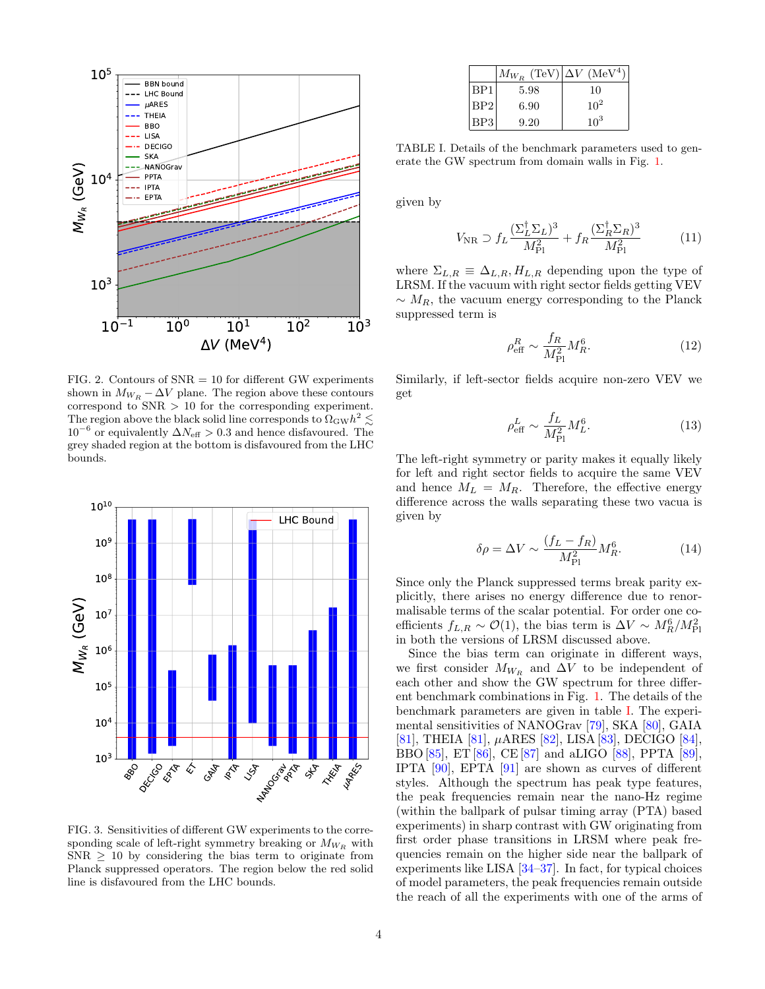

<span id="page-3-1"></span>FIG. 2. Contours of  $SNR = 10$  for different GW experiments shown in  $M_{W_R} - \Delta V$  plane. The region above these contours correspond to SNR > 10 for the corresponding experiment. The region above the black solid line corresponds to  $\Omega_{\rm GW} h^2 \lesssim$  $10^{-6}$  or equivalently  $\Delta N_{\text{eff}} > 0.3$  and hence disfavoured. The grey shaded region at the bottom is disfavoured from the LHC bounds.



<span id="page-3-2"></span>FIG. 3. Sensitivities of different GW experiments to the corresponding scale of left-right symmetry breaking or  $M_{W_R}$  with  $SNR \geq 10$  by considering the bias term to originate from Planck suppressed operators. The region below the red solid line is disfavoured from the LHC bounds.

|                 | $M_{W_R}$ (TeV) $\Delta V$ (MeV <sup>4</sup> ) |          |
|-----------------|------------------------------------------------|----------|
| BP <sub>1</sub> | 5.98                                           | 10       |
| BP2             | 6.90                                           | $10^{2}$ |
| BP3             | 9.20                                           | $10^{3}$ |

<span id="page-3-0"></span>TABLE I. Details of the benchmark parameters used to generate the GW spectrum from domain walls in Fig. [1.](#page-2-1)

given by

$$
V_{\rm NR} \supset f_L \frac{(\Sigma_L^{\dagger} \Sigma_L)^3}{M_{\rm Pl}^2} + f_R \frac{(\Sigma_R^{\dagger} \Sigma_R)^3}{M_{\rm Pl}^2} \tag{11}
$$

where  $\Sigma_{L,R} \equiv \Delta_{L,R}, H_{L,R}$  depending upon the type of LRSM. If the vacuum with right sector fields getting VEV  $\sim M_R$ , the vacuum energy corresponding to the Planck suppressed term is

$$
\rho_{\text{eff}}^R \sim \frac{f_R}{M_{\text{Pl}}^2} M_R^6. \tag{12}
$$

Similarly, if left-sector fields acquire non-zero VEV we get

$$
\rho_{\text{eff}}^L \sim \frac{f_L}{M_{\text{Pl}}^2} M_L^6. \tag{13}
$$

The left-right symmetry or parity makes it equally likely for left and right sector fields to acquire the same VEV and hence  $M_L = M_R$ . Therefore, the effective energy difference across the walls separating these two vacua is given by

$$
\delta \rho = \Delta V \sim \frac{(f_L - f_R)}{M_{\rm Pl}^2} M_R^6. \tag{14}
$$

Since only the Planck suppressed terms break parity explicitly, there arises no energy difference due to renormalisable terms of the scalar potential. For order one coefficients  $f_{L,R} \sim \mathcal{O}(1)$ , the bias term is  $\Delta V \sim M_R^6/M_{\rm Pl}^2$ in both the versions of LRSM discussed above.

Since the bias term can originate in different ways, we first consider  $M_{W_R}$  and  $\Delta V$  to be independent of each other and show the GW spectrum for three different benchmark combinations in Fig. [1.](#page-2-1) The details of the benchmark parameters are given in table [I.](#page-3-0) The experimental sensitivities of NANOGrav [\[79\]](#page-5-31), SKA [\[80\]](#page-5-32), GAIA [\[81\]](#page-5-33), THEIA [\[81\]](#page-5-33), µARES [\[82\]](#page-5-34), LISA [\[83\]](#page-5-35), DECIGO [\[84\]](#page-5-36), BBO [\[85\]](#page-5-37), ET [\[86\]](#page-5-38), CE [\[87\]](#page-6-0) and aLIGO [\[88\]](#page-6-1), PPTA [\[89\]](#page-6-2), IPTA [\[90\]](#page-6-3), EPTA [\[91\]](#page-6-4) are shown as curves of different styles. Although the spectrum has peak type features, the peak frequencies remain near the nano-Hz regime (within the ballpark of pulsar timing array (PTA) based experiments) in sharp contrast with GW originating from first order phase transitions in LRSM where peak frequencies remain on the higher side near the ballpark of experiments like LISA [\[34](#page-5-4)[–37\]](#page-5-5). In fact, for typical choices of model parameters, the peak frequencies remain outside the reach of all the experiments with one of the arms of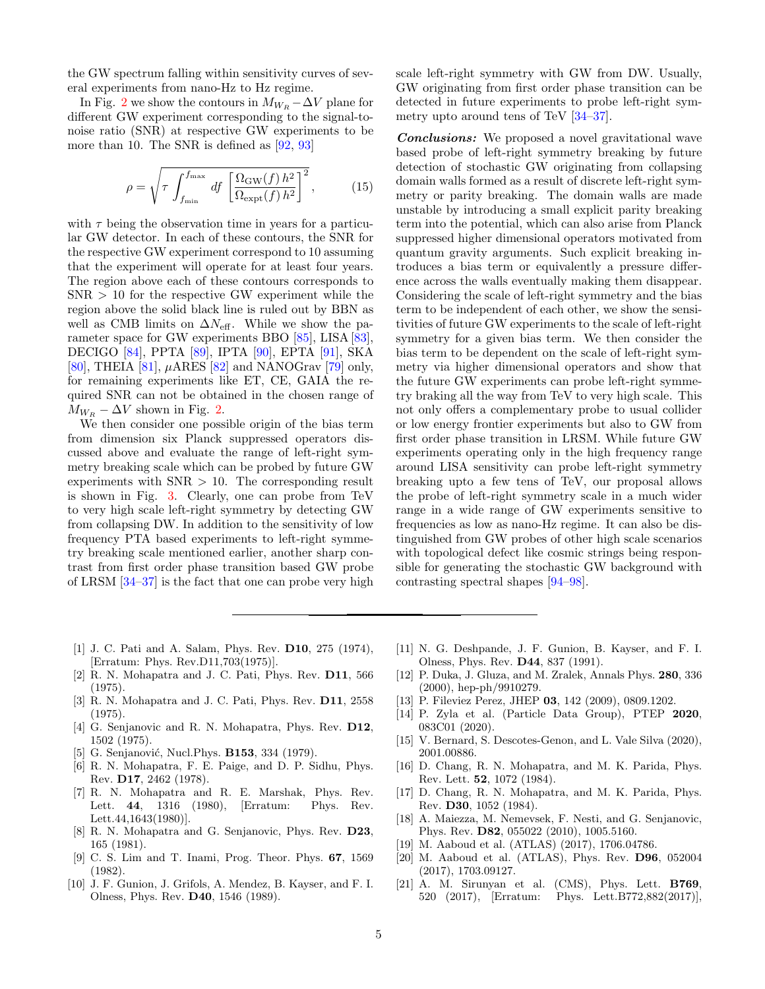the GW spectrum falling within sensitivity curves of several experiments from nano-Hz to Hz regime.

In Fig. [2](#page-3-1) we show the contours in  $M_{W_R} - \Delta V$  plane for different GW experiment corresponding to the signal-tonoise ratio (SNR) at respective GW experiments to be more than 10. The SNR is defined as [\[92,](#page-6-5) [93\]](#page-6-6)

$$
\rho = \sqrt{\tau \int_{f_{\min}}^{f_{\max}} df \left[ \frac{\Omega_{\text{GW}}(f) h^2}{\Omega_{\text{expt}}(f) h^2} \right]^2},
$$
(15)

with  $\tau$  being the observation time in years for a particular GW detector. In each of these contours, the SNR for the respective GW experiment correspond to 10 assuming that the experiment will operate for at least four years. The region above each of these contours corresponds to  $SNR > 10$  for the respective GW experiment while the region above the solid black line is ruled out by BBN as well as CMB limits on  $\Delta N_{\text{eff}}$ . While we show the parameter space for GW experiments BBO [\[85\]](#page-5-37), LISA [\[83\]](#page-5-35), DECIGO [\[84\]](#page-5-36), PPTA [\[89\]](#page-6-2), IPTA [\[90\]](#page-6-3), EPTA [\[91\]](#page-6-4), SKA [\[80\]](#page-5-32), THEIA [\[81\]](#page-5-33),  $\mu$ ARES [\[82\]](#page-5-34) and NANOGrav [\[79\]](#page-5-31) only, for remaining experiments like ET, CE, GAIA the required SNR can not be obtained in the chosen range of  $M_{W_R}$  –  $\Delta V$  shown in Fig. [2.](#page-3-1)

We then consider one possible origin of the bias term from dimension six Planck suppressed operators discussed above and evaluate the range of left-right symmetry breaking scale which can be probed by future GW experiments with  $SNR > 10$ . The corresponding result is shown in Fig. [3.](#page-3-2) Clearly, one can probe from TeV to very high scale left-right symmetry by detecting GW from collapsing DW. In addition to the sensitivity of low frequency PTA based experiments to left-right symmetry breaking scale mentioned earlier, another sharp contrast from first order phase transition based GW probe of LRSM [\[34–](#page-5-4)[37\]](#page-5-5) is the fact that one can probe very high scale left-right symmetry with GW from DW. Usually, GW originating from first order phase transition can be detected in future experiments to probe left-right symmetry upto around tens of TeV [\[34–](#page-5-4)[37\]](#page-5-5).

Conclusions: We proposed a novel gravitational wave based probe of left-right symmetry breaking by future detection of stochastic GW originating from collapsing domain walls formed as a result of discrete left-right symmetry or parity breaking. The domain walls are made unstable by introducing a small explicit parity breaking term into the potential, which can also arise from Planck suppressed higher dimensional operators motivated from quantum gravity arguments. Such explicit breaking introduces a bias term or equivalently a pressure difference across the walls eventually making them disappear. Considering the scale of left-right symmetry and the bias term to be independent of each other, we show the sensitivities of future GW experiments to the scale of left-right symmetry for a given bias term. We then consider the bias term to be dependent on the scale of left-right symmetry via higher dimensional operators and show that the future GW experiments can probe left-right symmetry braking all the way from TeV to very high scale. This not only offers a complementary probe to usual collider or low energy frontier experiments but also to GW from first order phase transition in LRSM. While future GW experiments operating only in the high frequency range around LISA sensitivity can probe left-right symmetry breaking upto a few tens of TeV, our proposal allows the probe of left-right symmetry scale in a much wider range in a wide range of GW experiments sensitive to frequencies as low as nano-Hz regime. It can also be distinguished from GW probes of other high scale scenarios with topological defect like cosmic strings being responsible for generating the stochastic GW background with contrasting spectral shapes [\[94–](#page-6-7)[98\]](#page-6-8).

- <span id="page-4-0"></span>[1] J. C. Pati and A. Salam, Phys. Rev. D10, 275 (1974), [Erratum: Phys. Rev.D11,703(1975)].
- [2] R. N. Mohapatra and J. C. Pati, Phys. Rev. D11, 566 (1975).
- [3] R. N. Mohapatra and J. C. Pati, Phys. Rev. D11, 2558 (1975).
- [4] G. Senjanovic and R. N. Mohapatra, Phys. Rev. D12, 1502 (1975).
- <span id="page-4-3"></span>[5] G. Senjanović, Nucl.Phys. **B153**, 334 (1979).
- [6] R. N. Mohapatra, F. E. Paige, and D. P. Sidhu, Phys. Rev. D17, 2462 (1978).
- <span id="page-4-5"></span>[7] R. N. Mohapatra and R. E. Marshak, Phys. Rev. Lett. 44, 1316 (1980), [Erratum: Phys. Rev. Lett.44,1643(1980)].
- [8] R. N. Mohapatra and G. Senjanovic, Phys. Rev. D23, 165 (1981).
- [9] C. S. Lim and T. Inami, Prog. Theor. Phys. 67, 1569 (1982).
- [10] J. F. Gunion, J. Grifols, A. Mendez, B. Kayser, and F. I. Olness, Phys. Rev. D40, 1546 (1989).
- [11] N. G. Deshpande, J. F. Gunion, B. Kayser, and F. I. Olness, Phys. Rev. D44, 837 (1991).
- [12] P. Duka, J. Gluza, and M. Zralek, Annals Phys. 280, 336 (2000), hep-ph/9910279.
- <span id="page-4-1"></span>[13] P. Fileviez Perez, JHEP 03, 142 (2009), 0809.1202.
- <span id="page-4-2"></span>[14] P. Zyla et al. (Particle Data Group), PTEP 2020, 083C01 (2020).
- <span id="page-4-4"></span>[15] V. Bernard, S. Descotes-Genon, and L. Vale Silva (2020), 2001.00886.
- <span id="page-4-7"></span>[16] D. Chang, R. N. Mohapatra, and M. K. Parida, Phys. Rev. Lett. 52, 1072 (1984).
- <span id="page-4-8"></span>[17] D. Chang, R. N. Mohapatra, and M. K. Parida, Phys. Rev. D30, 1052 (1984).
- <span id="page-4-6"></span>[18] A. Maiezza, M. Nemevsek, F. Nesti, and G. Senjanovic, Phys. Rev. D82, 055022 (2010), 1005.5160.
- [19] M. Aaboud et al. (ATLAS) (2017), 1706.04786.
- [20] M. Aaboud et al. (ATLAS), Phys. Rev. D96, 052004 (2017), 1703.09127.
- [21] A. M. Sirunyan et al. (CMS), Phys. Lett. B769, 520 (2017), [Erratum: Phys. Lett.B772,882(2017)],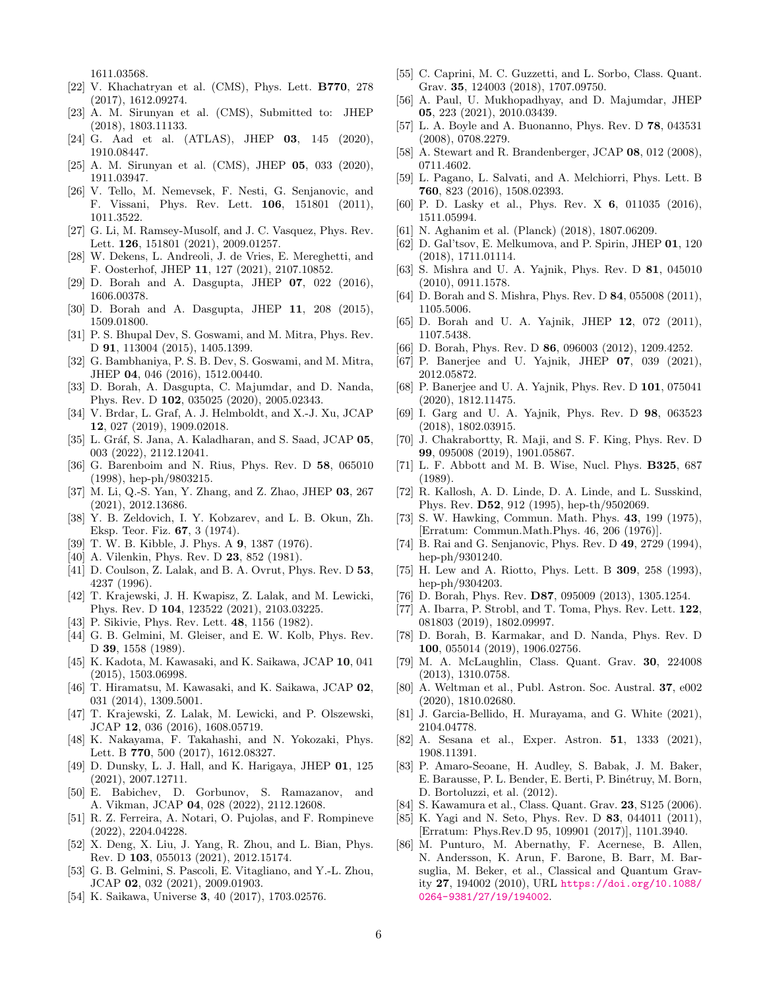1611.03568.

- [22] V. Khachatryan et al. (CMS), Phys. Lett. B770, 278 (2017), 1612.09274.
- [23] A. M. Sirunyan et al. (CMS), Submitted to: JHEP (2018), 1803.11133.
- [24] G. Aad et al. (ATLAS), JHEP 03, 145 (2020), 1910.08447.
- <span id="page-5-0"></span>[25] A. M. Sirunyan et al. (CMS), JHEP 05, 033 (2020), 1911.03947.
- <span id="page-5-1"></span>[26] V. Tello, M. Nemevsek, F. Nesti, G. Senjanovic, and F. Vissani, Phys. Rev. Lett. 106, 151801 (2011), 1011.3522.
- [27] G. Li, M. Ramsey-Musolf, and J. C. Vasquez, Phys. Rev. Lett. 126, 151801 (2021), 2009.01257.
- [28] W. Dekens, L. Andreoli, J. de Vries, E. Mereghetti, and F. Oosterhof, JHEP 11, 127 (2021), 2107.10852.
- [29] D. Borah and A. Dasgupta, JHEP 07, 022 (2016), 1606.00378.
- [30] D. Borah and A. Dasgupta, JHEP 11, 208 (2015), 1509.01800.
- [31] P. S. Bhupal Dev, S. Goswami, and M. Mitra, Phys. Rev. D 91, 113004 (2015), 1405.1399.
- <span id="page-5-2"></span>[32] G. Bambhaniya, P. S. B. Dev, S. Goswami, and M. Mitra, JHEP 04, 046 (2016), 1512.00440.
- <span id="page-5-3"></span>[33] D. Borah, A. Dasgupta, C. Majumdar, and D. Nanda, Phys. Rev. D 102, 035025 (2020), 2005.02343.
- <span id="page-5-4"></span>[34] V. Brdar, L. Graf, A. J. Helmboldt, and X.-J. Xu, JCAP 12, 027 (2019), 1909.02018.
- [35] L. Gráf, S. Jana, A. Kaladharan, and S. Saad, JCAP 05, 003 (2022), 2112.12041.
- [36] G. Barenboim and N. Rius, Phys. Rev. D 58, 065010 (1998), hep-ph/9803215.
- <span id="page-5-5"></span>[37] M. Li, Q.-S. Yan, Y. Zhang, and Z. Zhao, JHEP 03, 267 (2021), 2012.13686.
- <span id="page-5-6"></span>[38] Y. B. Zeldovich, I. Y. Kobzarev, and L. B. Okun, Zh. Eksp. Teor. Fiz. 67, 3 (1974).
- [39] T. W. B. Kibble, J. Phys. A 9, 1387 (1976).
- <span id="page-5-7"></span>[40] A. Vilenkin, Phys. Rev. D **23**, 852 (1981).
- <span id="page-5-8"></span>[41] D. Coulson, Z. Lalak, and B. A. Ovrut, Phys. Rev. D 53, 4237 (1996).
- <span id="page-5-9"></span>[42] T. Krajewski, J. H. Kwapisz, Z. Lalak, and M. Lewicki, Phys. Rev. D 104, 123522 (2021), 2103.03225.
- <span id="page-5-10"></span>[43] P. Sikivie, Phys. Rev. Lett. 48, 1156 (1982).
- <span id="page-5-11"></span>[44] G. B. Gelmini, M. Gleiser, and E. W. Kolb, Phys. Rev. D 39, 1558 (1989).
- <span id="page-5-12"></span>[45] K. Kadota, M. Kawasaki, and K. Saikawa, JCAP 10, 041 (2015), 1503.06998.
- <span id="page-5-14"></span>[46] T. Hiramatsu, M. Kawasaki, and K. Saikawa, JCAP 02, 031 (2014), 1309.5001.
- [47] T. Krajewski, Z. Lalak, M. Lewicki, and P. Olszewski, JCAP 12, 036 (2016), 1608.05719.
- <span id="page-5-19"></span>[48] K. Nakayama, F. Takahashi, and N. Yokozaki, Phys. Lett. B 770, 500 (2017), 1612.08327.
- [49] D. Dunsky, L. J. Hall, and K. Harigaya, JHEP 01, 125 (2021), 2007.12711.
- <span id="page-5-21"></span>[50] E. Babichev, D. Gorbunov, S. Ramazanov, and A. Vikman, JCAP 04, 028 (2022), 2112.12608.
- [51] R. Z. Ferreira, A. Notari, O. Pujolas, and F. Rompineve (2022), 2204.04228.
- [52] X. Deng, X. Liu, J. Yang, R. Zhou, and L. Bian, Phys. Rev. D 103, 055013 (2021), 2012.15174.
- [53] G. B. Gelmini, S. Pascoli, E. Vitagliano, and Y.-L. Zhou, JCAP 02, 032 (2021), 2009.01903.
- <span id="page-5-13"></span>[54] K. Saikawa, Universe 3, 40 (2017), 1703.02576.
- <span id="page-5-15"></span>[55] C. Caprini, M. C. Guzzetti, and L. Sorbo, Class. Quant. Grav. 35, 124003 (2018), 1707.09750.
- <span id="page-5-16"></span>[56] A. Paul, U. Mukhopadhyay, and D. Majumdar, JHEP 05, 223 (2021), 2010.03439.
- <span id="page-5-17"></span>[57] L. A. Boyle and A. Buonanno, Phys. Rev. D 78, 043531 (2008), 0708.2279.
- [58] A. Stewart and R. Brandenberger, JCAP 08, 012 (2008), 0711.4602.
- [59] L. Pagano, L. Salvati, and A. Melchiorri, Phys. Lett. B 760, 823 (2016), 1508.02393.
- [60] P. D. Lasky et al., Phys. Rev. X 6, 011035 (2016), 1511.05994.
- <span id="page-5-18"></span>[61] N. Aghanim et al. (Planck) (2018), 1807.06209.
- <span id="page-5-20"></span>[62] D. Gal'tsov, E. Melkumova, and P. Spirin, JHEP 01, 120 (2018), 1711.01114.
- <span id="page-5-22"></span>[63] S. Mishra and U. A. Yajnik, Phys. Rev. D 81, 045010 (2010), 0911.1578.
- [64] D. Borah and S. Mishra, Phys. Rev. D 84, 055008 (2011), 1105.5006.
- [65] D. Borah and U. A. Yajnik, JHEP 12, 072 (2011), 1107.5438.
- <span id="page-5-30"></span>[66] D. Borah, Phys. Rev. D 86, 096003 (2012), 1209.4252.
- [67] P. Banerjee and U. Yajnik, JHEP 07, 039 (2021), 2012.05872.
- [68] P. Banerjee and U. A. Yajnik, Phys. Rev. D 101, 075041 (2020), 1812.11475.
- [69] I. Garg and U. A. Yajnik, Phys. Rev. D 98, 063523 (2018), 1802.03915.
- <span id="page-5-23"></span>[70] J. Chakrabortty, R. Maji, and S. F. King, Phys. Rev. D 99, 095008 (2019), 1901.05867.
- <span id="page-5-24"></span>[71] L. F. Abbott and M. B. Wise, Nucl. Phys. B325, 687 (1989).
- [72] R. Kallosh, A. D. Linde, D. A. Linde, and L. Susskind, Phys. Rev. D52, 912 (1995), hep-th/9502069.
- <span id="page-5-25"></span>[73] S. W. Hawking, Commun. Math. Phys. 43, 199 (1975), [Erratum: Commun.Math.Phys. 46, 206 (1976)].
- <span id="page-5-26"></span>[74] B. Rai and G. Senjanovic, Phys. Rev. D 49, 2729 (1994), hep-ph/9301240.
- <span id="page-5-27"></span>[75] H. Lew and A. Riotto, Phys. Lett. B 309, 258 (1993), hep-ph/9304203.
- <span id="page-5-28"></span>[76] D. Borah, Phys. Rev. D87, 095009 (2013), 1305.1254.
- [77] A. Ibarra, P. Strobl, and T. Toma, Phys. Rev. Lett. 122, 081803 (2019), 1802.09997.
- <span id="page-5-29"></span>[78] D. Borah, B. Karmakar, and D. Nanda, Phys. Rev. D 100, 055014 (2019), 1906.02756.
- <span id="page-5-31"></span>[79] M. A. McLaughlin, Class. Quant. Grav. 30, 224008 (2013), 1310.0758.
- <span id="page-5-32"></span>[80] A. Weltman et al., Publ. Astron. Soc. Austral. 37, e002 (2020), 1810.02680.
- <span id="page-5-33"></span>[81] J. Garcia-Bellido, H. Murayama, and G. White (2021), 2104.04778.
- <span id="page-5-34"></span>[82] A. Sesana et al., Exper. Astron. 51, 1333 (2021), 1908.11391.
- <span id="page-5-35"></span>[83] P. Amaro-Seoane, H. Audley, S. Babak, J. M. Baker, E. Barausse, P. L. Bender, E. Berti, P. Binétruy, M. Born, D. Bortoluzzi, et al. (2012).
- <span id="page-5-36"></span>[84] S. Kawamura et al., Class. Quant. Grav. **23**, S125 (2006).
- <span id="page-5-37"></span>[85] K. Yagi and N. Seto, Phys. Rev. D 83, 044011 (2011), [Erratum: Phys.Rev.D 95, 109901 (2017)], 1101.3940.
- <span id="page-5-38"></span>[86] M. Punturo, M. Abernathy, F. Acernese, B. Allen, N. Andersson, K. Arun, F. Barone, B. Barr, M. Barsuglia, M. Beker, et al., Classical and Quantum Gravity 27, 194002 (2010), URL [https://doi.org/10.1088/](https://doi.org/10.1088/0264-9381/27/19/194002) [0264-9381/27/19/194002](https://doi.org/10.1088/0264-9381/27/19/194002).